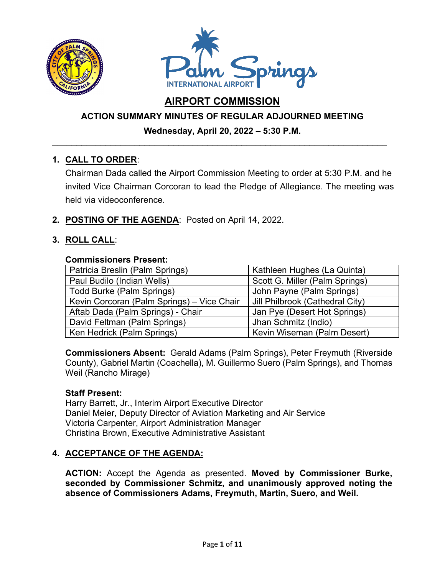



# **AIRPORT COMMISSION**

# **ACTION SUMMARY MINUTES OF REGULAR ADJOURNED MEETING**

## **Wednesday, April 20, 2022 – 5:30 P.M.**  \_\_\_\_\_\_\_\_\_\_\_\_\_\_\_\_\_\_\_\_\_\_\_\_\_\_\_\_\_\_\_\_\_\_\_\_\_\_\_\_\_\_\_\_\_\_\_\_\_\_\_\_\_\_\_\_\_\_\_\_\_\_\_\_\_\_\_\_\_

# **1. CALL TO ORDER**:

Chairman Dada called the Airport Commission Meeting to order at 5:30 P.M. and he invited Vice Chairman Corcoran to lead the Pledge of Allegiance. The meeting was held via videoconference.

**2. POSTING OF THE AGENDA**: Posted on April 14, 2022.

# **3. ROLL CALL**:

## **Commissioners Present:**

| Patricia Breslin (Palm Springs)            | Kathleen Hughes (La Quinta)     |
|--------------------------------------------|---------------------------------|
| Paul Budilo (Indian Wells)                 | Scott G. Miller (Palm Springs)  |
| <b>Todd Burke (Palm Springs)</b>           | John Payne (Palm Springs)       |
| Kevin Corcoran (Palm Springs) - Vice Chair | Jill Philbrook (Cathedral City) |
| Aftab Dada (Palm Springs) - Chair          | Jan Pye (Desert Hot Springs)    |
| David Feltman (Palm Springs)               | Jhan Schmitz (Indio)            |
| Ken Hedrick (Palm Springs)                 | Kevin Wiseman (Palm Desert)     |

**Commissioners Absent:** Gerald Adams (Palm Springs), Peter Freymuth (Riverside County), Gabriel Martin (Coachella), M. Guillermo Suero (Palm Springs), and Thomas Weil (Rancho Mirage)

## **Staff Present:**

Harry Barrett, Jr., Interim Airport Executive Director Daniel Meier, Deputy Director of Aviation Marketing and Air Service Victoria Carpenter, Airport Administration Manager Christina Brown, Executive Administrative Assistant

## **4. ACCEPTANCE OF THE AGENDA:**

**ACTION:** Accept the Agenda as presented. **Moved by Commissioner Burke, seconded by Commissioner Schmitz, and unanimously approved noting the absence of Commissioners Adams, Freymuth, Martin, Suero, and Weil.**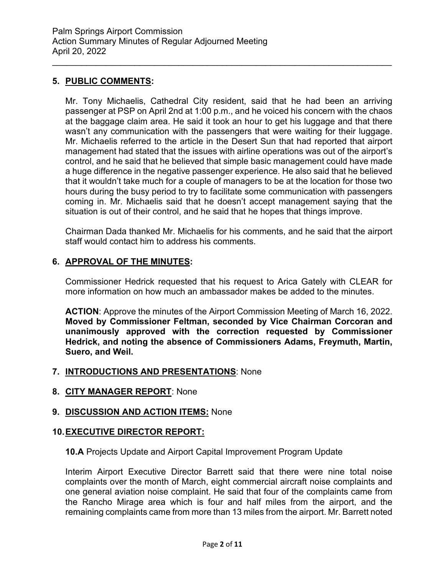## **5. PUBLIC COMMENTS:**

Mr. Tony Michaelis, Cathedral City resident, said that he had been an arriving passenger at PSP on April 2nd at 1:00 p.m., and he voiced his concern with the chaos at the baggage claim area. He said it took an hour to get his luggage and that there wasn't any communication with the passengers that were waiting for their luggage. Mr. Michaelis referred to the article in the Desert Sun that had reported that airport management had stated that the issues with airline operations was out of the airport's control, and he said that he believed that simple basic management could have made a huge difference in the negative passenger experience. He also said that he believed that it wouldn't take much for a couple of managers to be at the location for those two hours during the busy period to try to facilitate some communication with passengers coming in. Mr. Michaelis said that he doesn't accept management saying that the situation is out of their control, and he said that he hopes that things improve.

\_\_\_\_\_\_\_\_\_\_\_\_\_\_\_\_\_\_\_\_\_\_\_\_\_\_\_\_\_\_\_\_\_\_\_\_\_\_\_\_\_\_\_\_\_\_\_\_\_\_\_\_\_\_\_\_\_\_\_\_\_\_\_\_\_\_\_\_\_\_

Chairman Dada thanked Mr. Michaelis for his comments, and he said that the airport staff would contact him to address his comments.

## **6. APPROVAL OF THE MINUTES:**

Commissioner Hedrick requested that his request to Arica Gately with CLEAR for more information on how much an ambassador makes be added to the minutes.

**ACTION**: Approve the minutes of the Airport Commission Meeting of March 16, 2022. **Moved by Commissioner Feltman, seconded by Vice Chairman Corcoran and unanimously approved with the correction requested by Commissioner Hedrick, and noting the absence of Commissioners Adams, Freymuth, Martin, Suero, and Weil.**

## **7. INTRODUCTIONS AND PRESENTATIONS**: None

## **8. CITY MANAGER REPORT**: None

## **9. DISCUSSION AND ACTION ITEMS:** None

## **10.EXECUTIVE DIRECTOR REPORT:**

## **10.A** Projects Update and Airport Capital Improvement Program Update

Interim Airport Executive Director Barrett said that there were nine total noise complaints over the month of March, eight commercial aircraft noise complaints and one general aviation noise complaint. He said that four of the complaints came from the Rancho Mirage area which is four and half miles from the airport, and the remaining complaints came from more than 13 miles from the airport. Mr. Barrett noted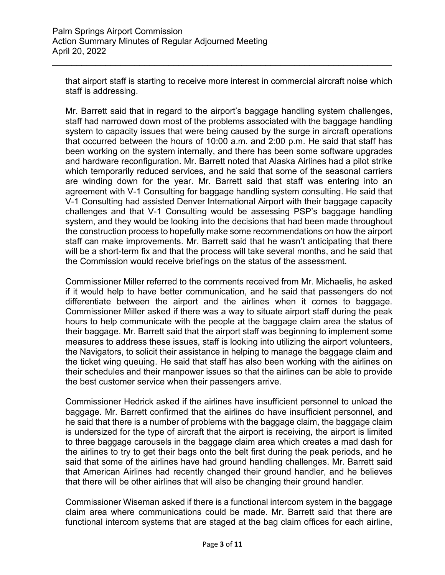that airport staff is starting to receive more interest in commercial aircraft noise which staff is addressing.

\_\_\_\_\_\_\_\_\_\_\_\_\_\_\_\_\_\_\_\_\_\_\_\_\_\_\_\_\_\_\_\_\_\_\_\_\_\_\_\_\_\_\_\_\_\_\_\_\_\_\_\_\_\_\_\_\_\_\_\_\_\_\_\_\_\_\_\_\_\_

Mr. Barrett said that in regard to the airport's baggage handling system challenges, staff had narrowed down most of the problems associated with the baggage handling system to capacity issues that were being caused by the surge in aircraft operations that occurred between the hours of 10:00 a.m. and 2:00 p.m. He said that staff has been working on the system internally, and there has been some software upgrades and hardware reconfiguration. Mr. Barrett noted that Alaska Airlines had a pilot strike which temporarily reduced services, and he said that some of the seasonal carriers are winding down for the year. Mr. Barrett said that staff was entering into an agreement with V-1 Consulting for baggage handling system consulting. He said that V-1 Consulting had assisted Denver International Airport with their baggage capacity challenges and that V-1 Consulting would be assessing PSP's baggage handling system, and they would be looking into the decisions that had been made throughout the construction process to hopefully make some recommendations on how the airport staff can make improvements. Mr. Barrett said that he wasn't anticipating that there will be a short-term fix and that the process will take several months, and he said that the Commission would receive briefings on the status of the assessment.

Commissioner Miller referred to the comments received from Mr. Michaelis, he asked if it would help to have better communication, and he said that passengers do not differentiate between the airport and the airlines when it comes to baggage. Commissioner Miller asked if there was a way to situate airport staff during the peak hours to help communicate with the people at the baggage claim area the status of their baggage. Mr. Barrett said that the airport staff was beginning to implement some measures to address these issues, staff is looking into utilizing the airport volunteers, the Navigators, to solicit their assistance in helping to manage the baggage claim and the ticket wing queuing. He said that staff has also been working with the airlines on their schedules and their manpower issues so that the airlines can be able to provide the best customer service when their passengers arrive.

Commissioner Hedrick asked if the airlines have insufficient personnel to unload the baggage. Mr. Barrett confirmed that the airlines do have insufficient personnel, and he said that there is a number of problems with the baggage claim, the baggage claim is undersized for the type of aircraft that the airport is receiving, the airport is limited to three baggage carousels in the baggage claim area which creates a mad dash for the airlines to try to get their bags onto the belt first during the peak periods, and he said that some of the airlines have had ground handling challenges. Mr. Barrett said that American Airlines had recently changed their ground handler, and he believes that there will be other airlines that will also be changing their ground handler.

Commissioner Wiseman asked if there is a functional intercom system in the baggage claim area where communications could be made. Mr. Barrett said that there are functional intercom systems that are staged at the bag claim offices for each airline,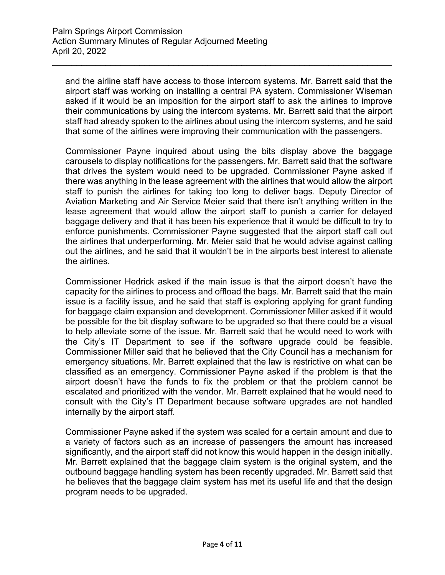and the airline staff have access to those intercom systems. Mr. Barrett said that the airport staff was working on installing a central PA system. Commissioner Wiseman asked if it would be an imposition for the airport staff to ask the airlines to improve their communications by using the intercom systems. Mr. Barrett said that the airport staff had already spoken to the airlines about using the intercom systems, and he said that some of the airlines were improving their communication with the passengers.

\_\_\_\_\_\_\_\_\_\_\_\_\_\_\_\_\_\_\_\_\_\_\_\_\_\_\_\_\_\_\_\_\_\_\_\_\_\_\_\_\_\_\_\_\_\_\_\_\_\_\_\_\_\_\_\_\_\_\_\_\_\_\_\_\_\_\_\_\_\_

Commissioner Payne inquired about using the bits display above the baggage carousels to display notifications for the passengers. Mr. Barrett said that the software that drives the system would need to be upgraded. Commissioner Payne asked if there was anything in the lease agreement with the airlines that would allow the airport staff to punish the airlines for taking too long to deliver bags. Deputy Director of Aviation Marketing and Air Service Meier said that there isn't anything written in the lease agreement that would allow the airport staff to punish a carrier for delayed baggage delivery and that it has been his experience that it would be difficult to try to enforce punishments. Commissioner Payne suggested that the airport staff call out the airlines that underperforming. Mr. Meier said that he would advise against calling out the airlines, and he said that it wouldn't be in the airports best interest to alienate the airlines.

Commissioner Hedrick asked if the main issue is that the airport doesn't have the capacity for the airlines to process and offload the bags. Mr. Barrett said that the main issue is a facility issue, and he said that staff is exploring applying for grant funding for baggage claim expansion and development. Commissioner Miller asked if it would be possible for the bit display software to be upgraded so that there could be a visual to help alleviate some of the issue. Mr. Barrett said that he would need to work with the City's IT Department to see if the software upgrade could be feasible. Commissioner Miller said that he believed that the City Council has a mechanism for emergency situations. Mr. Barrett explained that the law is restrictive on what can be classified as an emergency. Commissioner Payne asked if the problem is that the airport doesn't have the funds to fix the problem or that the problem cannot be escalated and prioritized with the vendor. Mr. Barrett explained that he would need to consult with the City's IT Department because software upgrades are not handled internally by the airport staff.

Commissioner Payne asked if the system was scaled for a certain amount and due to a variety of factors such as an increase of passengers the amount has increased significantly, and the airport staff did not know this would happen in the design initially. Mr. Barrett explained that the baggage claim system is the original system, and the outbound baggage handling system has been recently upgraded. Mr. Barrett said that he believes that the baggage claim system has met its useful life and that the design program needs to be upgraded.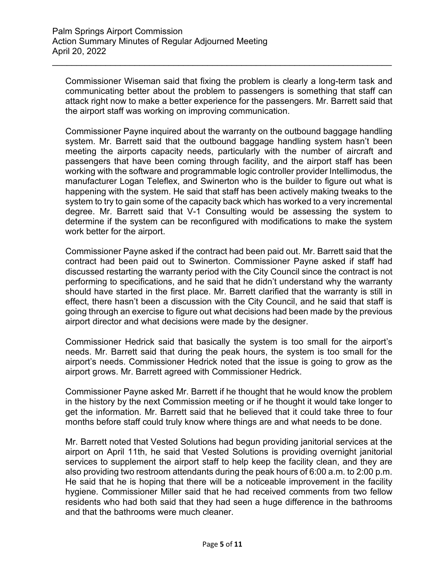Commissioner Wiseman said that fixing the problem is clearly a long-term task and communicating better about the problem to passengers is something that staff can attack right now to make a better experience for the passengers. Mr. Barrett said that the airport staff was working on improving communication.

\_\_\_\_\_\_\_\_\_\_\_\_\_\_\_\_\_\_\_\_\_\_\_\_\_\_\_\_\_\_\_\_\_\_\_\_\_\_\_\_\_\_\_\_\_\_\_\_\_\_\_\_\_\_\_\_\_\_\_\_\_\_\_\_\_\_\_\_\_\_

Commissioner Payne inquired about the warranty on the outbound baggage handling system. Mr. Barrett said that the outbound baggage handling system hasn't been meeting the airports capacity needs, particularly with the number of aircraft and passengers that have been coming through facility, and the airport staff has been working with the software and programmable logic controller provider Intellimodus, the manufacturer Logan Teleflex, and Swinerton who is the builder to figure out what is happening with the system. He said that staff has been actively making tweaks to the system to try to gain some of the capacity back which has worked to a very incremental degree. Mr. Barrett said that V-1 Consulting would be assessing the system to determine if the system can be reconfigured with modifications to make the system work better for the airport.

Commissioner Payne asked if the contract had been paid out. Mr. Barrett said that the contract had been paid out to Swinerton. Commissioner Payne asked if staff had discussed restarting the warranty period with the City Council since the contract is not performing to specifications, and he said that he didn't understand why the warranty should have started in the first place. Mr. Barrett clarified that the warranty is still in effect, there hasn't been a discussion with the City Council, and he said that staff is going through an exercise to figure out what decisions had been made by the previous airport director and what decisions were made by the designer.

Commissioner Hedrick said that basically the system is too small for the airport's needs. Mr. Barrett said that during the peak hours, the system is too small for the airport's needs. Commissioner Hedrick noted that the issue is going to grow as the airport grows. Mr. Barrett agreed with Commissioner Hedrick.

Commissioner Payne asked Mr. Barrett if he thought that he would know the problem in the history by the next Commission meeting or if he thought it would take longer to get the information. Mr. Barrett said that he believed that it could take three to four months before staff could truly know where things are and what needs to be done.

Mr. Barrett noted that Vested Solutions had begun providing janitorial services at the airport on April 11th, he said that Vested Solutions is providing overnight janitorial services to supplement the airport staff to help keep the facility clean, and they are also providing two restroom attendants during the peak hours of 6:00 a.m. to 2:00 p.m. He said that he is hoping that there will be a noticeable improvement in the facility hygiene. Commissioner Miller said that he had received comments from two fellow residents who had both said that they had seen a huge difference in the bathrooms and that the bathrooms were much cleaner.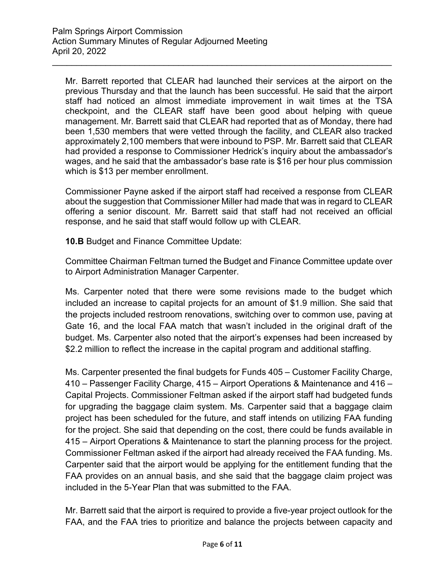Mr. Barrett reported that CLEAR had launched their services at the airport on the previous Thursday and that the launch has been successful. He said that the airport staff had noticed an almost immediate improvement in wait times at the TSA checkpoint, and the CLEAR staff have been good about helping with queue management. Mr. Barrett said that CLEAR had reported that as of Monday, there had been 1,530 members that were vetted through the facility, and CLEAR also tracked approximately 2,100 members that were inbound to PSP. Mr. Barrett said that CLEAR had provided a response to Commissioner Hedrick's inquiry about the ambassador's wages, and he said that the ambassador's base rate is \$16 per hour plus commission which is \$13 per member enrollment.

\_\_\_\_\_\_\_\_\_\_\_\_\_\_\_\_\_\_\_\_\_\_\_\_\_\_\_\_\_\_\_\_\_\_\_\_\_\_\_\_\_\_\_\_\_\_\_\_\_\_\_\_\_\_\_\_\_\_\_\_\_\_\_\_\_\_\_\_\_\_

Commissioner Payne asked if the airport staff had received a response from CLEAR about the suggestion that Commissioner Miller had made that was in regard to CLEAR offering a senior discount. Mr. Barrett said that staff had not received an official response, and he said that staff would follow up with CLEAR.

**10.B** Budget and Finance Committee Update:

Committee Chairman Feltman turned the Budget and Finance Committee update over to Airport Administration Manager Carpenter.

Ms. Carpenter noted that there were some revisions made to the budget which included an increase to capital projects for an amount of \$1.9 million. She said that the projects included restroom renovations, switching over to common use, paving at Gate 16, and the local FAA match that wasn't included in the original draft of the budget. Ms. Carpenter also noted that the airport's expenses had been increased by \$2.2 million to reflect the increase in the capital program and additional staffing.

Ms. Carpenter presented the final budgets for Funds 405 – Customer Facility Charge, 410 – Passenger Facility Charge, 415 – Airport Operations & Maintenance and 416 – Capital Projects. Commissioner Feltman asked if the airport staff had budgeted funds for upgrading the baggage claim system. Ms. Carpenter said that a baggage claim project has been scheduled for the future, and staff intends on utilizing FAA funding for the project. She said that depending on the cost, there could be funds available in 415 – Airport Operations & Maintenance to start the planning process for the project. Commissioner Feltman asked if the airport had already received the FAA funding. Ms. Carpenter said that the airport would be applying for the entitlement funding that the FAA provides on an annual basis, and she said that the baggage claim project was included in the 5-Year Plan that was submitted to the FAA.

Mr. Barrett said that the airport is required to provide a five-year project outlook for the FAA, and the FAA tries to prioritize and balance the projects between capacity and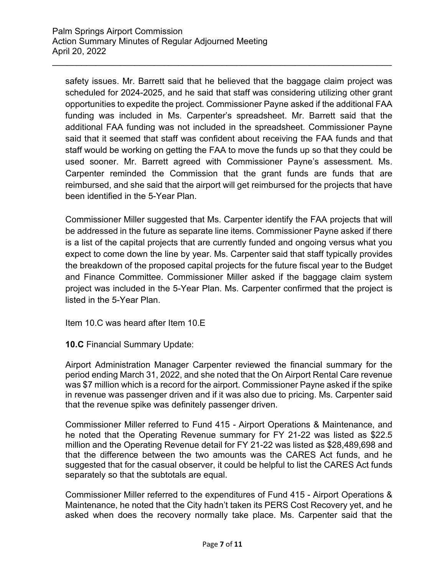safety issues. Mr. Barrett said that he believed that the baggage claim project was scheduled for 2024-2025, and he said that staff was considering utilizing other grant opportunities to expedite the project. Commissioner Payne asked if the additional FAA funding was included in Ms. Carpenter's spreadsheet. Mr. Barrett said that the additional FAA funding was not included in the spreadsheet. Commissioner Payne said that it seemed that staff was confident about receiving the FAA funds and that staff would be working on getting the FAA to move the funds up so that they could be used sooner. Mr. Barrett agreed with Commissioner Payne's assessment. Ms. Carpenter reminded the Commission that the grant funds are funds that are reimbursed, and she said that the airport will get reimbursed for the projects that have been identified in the 5-Year Plan.

\_\_\_\_\_\_\_\_\_\_\_\_\_\_\_\_\_\_\_\_\_\_\_\_\_\_\_\_\_\_\_\_\_\_\_\_\_\_\_\_\_\_\_\_\_\_\_\_\_\_\_\_\_\_\_\_\_\_\_\_\_\_\_\_\_\_\_\_\_\_

Commissioner Miller suggested that Ms. Carpenter identify the FAA projects that will be addressed in the future as separate line items. Commissioner Payne asked if there is a list of the capital projects that are currently funded and ongoing versus what you expect to come down the line by year. Ms. Carpenter said that staff typically provides the breakdown of the proposed capital projects for the future fiscal year to the Budget and Finance Committee. Commissioner Miller asked if the baggage claim system project was included in the 5-Year Plan. Ms. Carpenter confirmed that the project is listed in the 5-Year Plan.

Item 10.C was heard after Item 10.E

**10.C** Financial Summary Update:

Airport Administration Manager Carpenter reviewed the financial summary for the period ending March 31, 2022, and she noted that the On Airport Rental Care revenue was \$7 million which is a record for the airport. Commissioner Payne asked if the spike in revenue was passenger driven and if it was also due to pricing. Ms. Carpenter said that the revenue spike was definitely passenger driven.

Commissioner Miller referred to Fund 415 - Airport Operations & Maintenance, and he noted that the Operating Revenue summary for FY 21-22 was listed as \$22.5 million and the Operating Revenue detail for FY 21-22 was listed as \$28,489,698 and that the difference between the two amounts was the CARES Act funds, and he suggested that for the casual observer, it could be helpful to list the CARES Act funds separately so that the subtotals are equal.

Commissioner Miller referred to the expenditures of Fund 415 - Airport Operations & Maintenance, he noted that the City hadn't taken its PERS Cost Recovery yet, and he asked when does the recovery normally take place. Ms. Carpenter said that the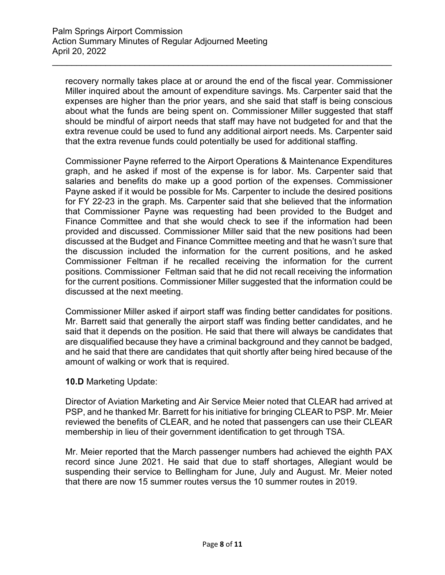recovery normally takes place at or around the end of the fiscal year. Commissioner Miller inquired about the amount of expenditure savings. Ms. Carpenter said that the expenses are higher than the prior years, and she said that staff is being conscious about what the funds are being spent on. Commissioner Miller suggested that staff should be mindful of airport needs that staff may have not budgeted for and that the extra revenue could be used to fund any additional airport needs. Ms. Carpenter said that the extra revenue funds could potentially be used for additional staffing.

\_\_\_\_\_\_\_\_\_\_\_\_\_\_\_\_\_\_\_\_\_\_\_\_\_\_\_\_\_\_\_\_\_\_\_\_\_\_\_\_\_\_\_\_\_\_\_\_\_\_\_\_\_\_\_\_\_\_\_\_\_\_\_\_\_\_\_\_\_\_

Commissioner Payne referred to the Airport Operations & Maintenance Expenditures graph, and he asked if most of the expense is for labor. Ms. Carpenter said that salaries and benefits do make up a good portion of the expenses. Commissioner Payne asked if it would be possible for Ms. Carpenter to include the desired positions for FY 22-23 in the graph. Ms. Carpenter said that she believed that the information that Commissioner Payne was requesting had been provided to the Budget and Finance Committee and that she would check to see if the information had been provided and discussed. Commissioner Miller said that the new positions had been discussed at the Budget and Finance Committee meeting and that he wasn't sure that the discussion included the information for the current positions, and he asked Commissioner Feltman if he recalled receiving the information for the current positions. Commissioner Feltman said that he did not recall receiving the information for the current positions. Commissioner Miller suggested that the information could be discussed at the next meeting.

Commissioner Miller asked if airport staff was finding better candidates for positions. Mr. Barrett said that generally the airport staff was finding better candidates, and he said that it depends on the position. He said that there will always be candidates that are disqualified because they have a criminal background and they cannot be badged, and he said that there are candidates that quit shortly after being hired because of the amount of walking or work that is required.

## **10.D** Marketing Update:

Director of Aviation Marketing and Air Service Meier noted that CLEAR had arrived at PSP, and he thanked Mr. Barrett for his initiative for bringing CLEAR to PSP. Mr. Meier reviewed the benefits of CLEAR, and he noted that passengers can use their CLEAR membership in lieu of their government identification to get through TSA.

Mr. Meier reported that the March passenger numbers had achieved the eighth PAX record since June 2021. He said that due to staff shortages, Allegiant would be suspending their service to Bellingham for June, July and August. Mr. Meier noted that there are now 15 summer routes versus the 10 summer routes in 2019.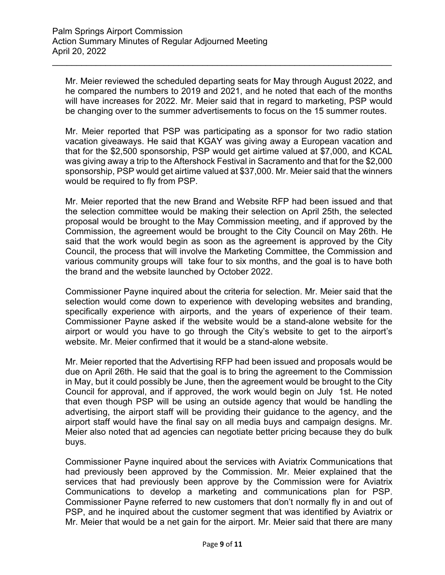Mr. Meier reviewed the scheduled departing seats for May through August 2022, and he compared the numbers to 2019 and 2021, and he noted that each of the months will have increases for 2022. Mr. Meier said that in regard to marketing, PSP would be changing over to the summer advertisements to focus on the 15 summer routes.

\_\_\_\_\_\_\_\_\_\_\_\_\_\_\_\_\_\_\_\_\_\_\_\_\_\_\_\_\_\_\_\_\_\_\_\_\_\_\_\_\_\_\_\_\_\_\_\_\_\_\_\_\_\_\_\_\_\_\_\_\_\_\_\_\_\_\_\_\_\_

Mr. Meier reported that PSP was participating as a sponsor for two radio station vacation giveaways. He said that KGAY was giving away a European vacation and that for the \$2,500 sponsorship, PSP would get airtime valued at \$7,000, and KCAL was giving away a trip to the Aftershock Festival in Sacramento and that for the \$2,000 sponsorship, PSP would get airtime valued at \$37,000. Mr. Meier said that the winners would be required to fly from PSP.

Mr. Meier reported that the new Brand and Website RFP had been issued and that the selection committee would be making their selection on April 25th, the selected proposal would be brought to the May Commission meeting, and if approved by the Commission, the agreement would be brought to the City Council on May 26th. He said that the work would begin as soon as the agreement is approved by the City Council, the process that will involve the Marketing Committee, the Commission and various community groups will take four to six months, and the goal is to have both the brand and the website launched by October 2022.

Commissioner Payne inquired about the criteria for selection. Mr. Meier said that the selection would come down to experience with developing websites and branding, specifically experience with airports, and the years of experience of their team. Commissioner Payne asked if the website would be a stand-alone website for the airport or would you have to go through the City's website to get to the airport's website. Mr. Meier confirmed that it would be a stand-alone website.

Mr. Meier reported that the Advertising RFP had been issued and proposals would be due on April 26th. He said that the goal is to bring the agreement to the Commission in May, but it could possibly be June, then the agreement would be brought to the City Council for approval, and if approved, the work would begin on July 1st. He noted that even though PSP will be using an outside agency that would be handling the advertising, the airport staff will be providing their guidance to the agency, and the airport staff would have the final say on all media buys and campaign designs. Mr. Meier also noted that ad agencies can negotiate better pricing because they do bulk buys.

Commissioner Payne inquired about the services with Aviatrix Communications that had previously been approved by the Commission. Mr. Meier explained that the services that had previously been approve by the Commission were for Aviatrix Communications to develop a marketing and communications plan for PSP. Commissioner Payne referred to new customers that don't normally fly in and out of PSP, and he inquired about the customer segment that was identified by Aviatrix or Mr. Meier that would be a net gain for the airport. Mr. Meier said that there are many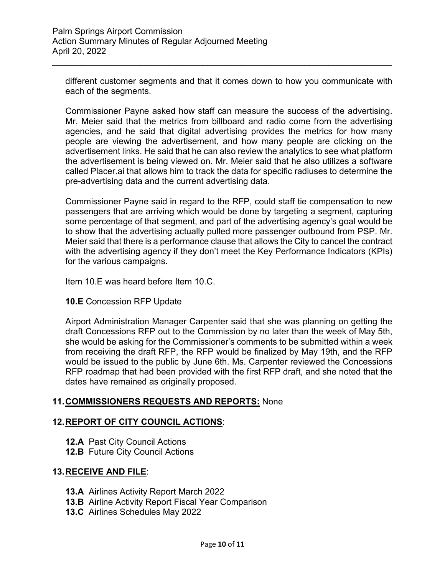different customer segments and that it comes down to how you communicate with each of the segments.

\_\_\_\_\_\_\_\_\_\_\_\_\_\_\_\_\_\_\_\_\_\_\_\_\_\_\_\_\_\_\_\_\_\_\_\_\_\_\_\_\_\_\_\_\_\_\_\_\_\_\_\_\_\_\_\_\_\_\_\_\_\_\_\_\_\_\_\_\_\_

Commissioner Payne asked how staff can measure the success of the advertising. Mr. Meier said that the metrics from billboard and radio come from the advertising agencies, and he said that digital advertising provides the metrics for how many people are viewing the advertisement, and how many people are clicking on the advertisement links. He said that he can also review the analytics to see what platform the advertisement is being viewed on. Mr. Meier said that he also utilizes a software called Placer.ai that allows him to track the data for specific radiuses to determine the pre-advertising data and the current advertising data.

Commissioner Payne said in regard to the RFP, could staff tie compensation to new passengers that are arriving which would be done by targeting a segment, capturing some percentage of that segment, and part of the advertising agency's goal would be to show that the advertising actually pulled more passenger outbound from PSP. Mr. Meier said that there is a performance clause that allows the City to cancel the contract with the advertising agency if they don't meet the Key Performance Indicators (KPIs) for the various campaigns.

Item 10.E was heard before Item 10.C.

## **10.E** Concession RFP Update

Airport Administration Manager Carpenter said that she was planning on getting the draft Concessions RFP out to the Commission by no later than the week of May 5th, she would be asking for the Commissioner's comments to be submitted within a week from receiving the draft RFP, the RFP would be finalized by May 19th, and the RFP would be issued to the public by June 6th. Ms. Carpenter reviewed the Concessions RFP roadmap that had been provided with the first RFP draft, and she noted that the dates have remained as originally proposed.

## **11.COMMISSIONERS REQUESTS AND REPORTS:** None

## **12.REPORT OF CITY COUNCIL ACTIONS**:

- **12.A** Past City Council Actions
- **12.B** Future City Council Actions

## **13.RECEIVE AND FILE**:

- **13.A** Airlines Activity Report March 2022
- **13.B** Airline Activity Report Fiscal Year Comparison
- **13.C** Airlines Schedules May 2022